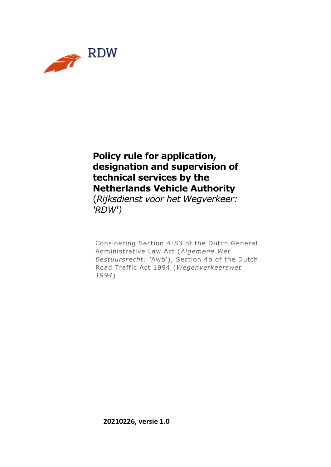

#### **Policy rule for application, designation and supervision of technical services by the Netherlands Vehicle Authority**

(*Rijksdienst voor het Wegverkeer: 'RDW')*

Considering Section 4:83 of the Dutch General Administrative Law Act (*Algemene Wet Bestuursrecht: '*Awb'), Section 4b of the Dutch Road Traffic Act 1994 (*Wegenverkeerswet 1994*)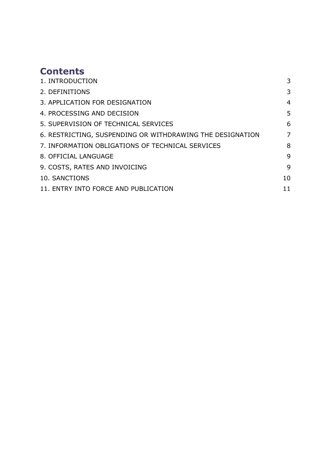## **Contents**

| 1. INTRODUCTION                                           | 3              |
|-----------------------------------------------------------|----------------|
| 2. DEFINITIONS                                            | 3              |
| 3. APPLICATION FOR DESIGNATION                            | $\overline{4}$ |
| 4. PROCESSING AND DECISION                                | 5              |
| 5. SUPERVISION OF TECHNICAL SERVICES                      | 6              |
| 6. RESTRICTING, SUSPENDING OR WITHDRAWING THE DESIGNATION | 7              |
| 7. INFORMATION OBLIGATIONS OF TECHNICAL SERVICES          | 8              |
| 8. OFFICIAL LANGUAGE                                      | 9              |
| 9. COSTS, RATES AND INVOICING                             | 9              |
| 10. SANCTIONS                                             | 10             |
| 11. ENTRY INTO FORCE AND PUBLICATION                      | 11             |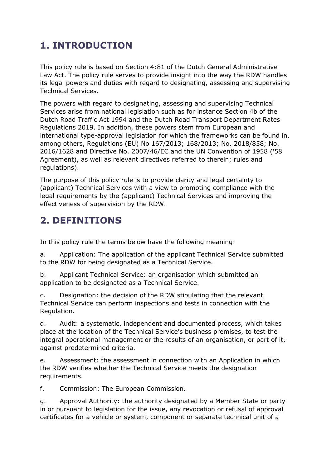# <span id="page-2-0"></span>**1. INTRODUCTION**

This policy rule is based on Section 4:81 of the Dutch General Administrative Law Act. The policy rule serves to provide insight into the way the RDW handles its legal powers and duties with regard to designating, assessing and supervising Technical Services.

The powers with regard to designating, assessing and supervising Technical Services arise from national legislation such as for instance Section 4b of the Dutch Road Traffic Act 1994 and the Dutch Road Transport Department Rates Regulations 2019. In addition, these powers stem from European and international type-approval legislation for which the frameworks can be found in, among others, Regulations (EU) No 167/2013; 168/2013; No. 2018/858; No. 2016/1628 and Directive No. 2007/46/EC and the UN Convention of 1958 ('58 Agreement), as well as relevant directives referred to therein; rules and regulations).

The purpose of this policy rule is to provide clarity and legal certainty to (applicant) Technical Services with a view to promoting compliance with the legal requirements by the (applicant) Technical Services and improving the effectiveness of supervision by the RDW.

## <span id="page-2-1"></span>**2. DEFINITIONS**

In this policy rule the terms below have the following meaning:

a. Application: The application of the applicant Technical Service submitted to the RDW for being designated as a Technical Service.

b. Applicant Technical Service: an organisation which submitted an application to be designated as a Technical Service.

c. Designation: the decision of the RDW stipulating that the relevant Technical Service can perform inspections and tests in connection with the Regulation.

d. Audit: a systematic, independent and documented process, which takes place at the location of the Technical Service's business premises, to test the integral operational management or the results of an organisation, or part of it, against predetermined criteria.

e. Assessment: the assessment in connection with an Application in which the RDW verifies whether the Technical Service meets the designation requirements.

f. Commission: The European Commission.

g. Approval Authority: the authority designated by a Member State or party in or pursuant to legislation for the issue, any revocation or refusal of approval certificates for a vehicle or system, component or separate technical unit of a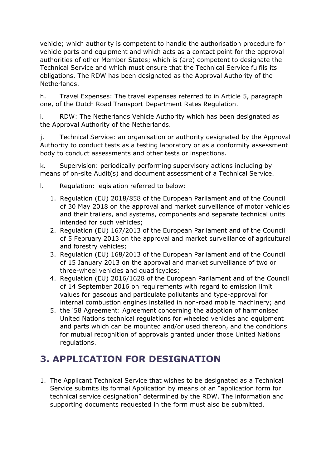vehicle; which authority is competent to handle the authorisation procedure for vehicle parts and equipment and which acts as a contact point for the approval authorities of other Member States; which is (are) competent to designate the Technical Service and which must ensure that the Technical Service fulfils its obligations. The RDW has been designated as the Approval Authority of the Netherlands.

h. Travel Expenses: The travel expenses referred to in Article 5, paragraph one, of the Dutch Road Transport Department Rates Regulation.

i. RDW: The Netherlands Vehicle Authority which has been designated as the Approval Authority of the Netherlands.

j. Technical Service: an organisation or authority designated by the Approval Authority to conduct tests as a testing laboratory or as a conformity assessment body to conduct assessments and other tests or inspections.

k. Supervision: periodically performing supervisory actions including by means of on-site Audit(s) and document assessment of a Technical Service.

- l. Regulation: legislation referred to below:
	- 1. Regulation (EU) 2018/858 of the European Parliament and of the Council of 30 May 2018 on the approval and market surveillance of motor vehicles and their trailers, and systems, components and separate technical units intended for such vehicles;
	- 2. Regulation (EU) 167/2013 of the European Parliament and of the Council of 5 February 2013 on the approval and market surveillance of agricultural and forestry vehicles;
	- 3. Regulation (EU) 168/2013 of the European Parliament and of the Council of 15 January 2013 on the approval and market surveillance of two or three-wheel vehicles and quadricycles;
	- 4. Regulation (EU) 2016/1628 of the European Parliament and of the Council of 14 September 2016 on requirements with regard to emission limit values for gaseous and particulate pollutants and type-approval for internal combustion engines installed in non-road mobile machinery; and
	- 5. the '58 Agreement: Agreement concerning the adoption of harmonised United Nations technical regulations for wheeled vehicles and equipment and parts which can be mounted and/or used thereon, and the conditions for mutual recognition of approvals granted under those United Nations regulations.

# <span id="page-3-0"></span>**3. APPLICATION FOR DESIGNATION**

1. The Applicant Technical Service that wishes to be designated as a Technical Service submits its formal Application by means of an "application form for technical service designation" determined by the RDW. The information and supporting documents requested in the form must also be submitted.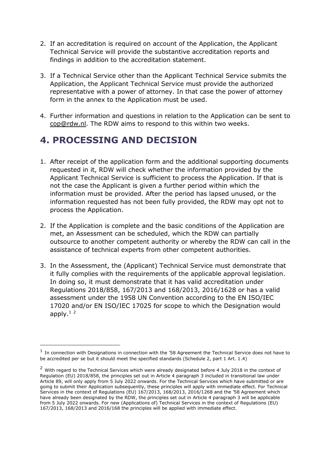- 2. If an accreditation is required on account of the Application, the Applicant Technical Service will provide the substantive accreditation reports and findings in addition to the accreditation statement.
- 3. If a Technical Service other than the Applicant Technical Service submits the Application, the Applicant Technical Service must provide the authorized representative with a power of attorney. In that case the power of attorney form in the annex to the Application must be used.
- 4. Further information and questions in relation to the Application can be sent to [cop@rdw.nl.](mailto:cop@rdw.nl) The RDW aims to respond to this within two weeks.

#### <span id="page-4-0"></span>**4. PROCESSING AND DECISION**

-

- 1. After receipt of the application form and the additional supporting documents requested in it, RDW will check whether the information provided by the Applicant Technical Service is sufficient to process the Application. If that is not the case the Applicant is given a further period within which the information must be provided. After the period has lapsed unused, or the information requested has not been fully provided, the RDW may opt not to process the Application.
- 2. If the Application is complete and the basic conditions of the Application are met, an Assessment can be scheduled, which the RDW can partially outsource to another competent authority or whereby the RDW can call in the assistance of technical experts from other competent authorities.
- 3. In the Assessment, the (Applicant) Technical Service must demonstrate that it fully complies with the requirements of the applicable approval legislation. In doing so, it must demonstrate that it has valid accreditation under Regulations 2018/858, 167/2013 and 168/2013, 2016/1628 or has a valid assessment under the 1958 UN Convention according to the EN ISO/IEC 17020 and/or EN ISO/IEC 17025 for scope to which the Designation would apply. $1<sup>2</sup>$

 $1$  In connection with Designations in connection with the '58 Agreement the Technical Service does not have to be accredited per se but it should meet the specified standards (Schedule 2, part 1 Art. 1.4)

<sup>&</sup>lt;sup>2</sup> With regard to the Technical Services which were already designated before 4 July 2018 in the context of Regulation (EU) 2018/858, the principles set out in Article 4 paragraph 3 included in transitional law under Article 89, will only apply from 5 July 2022 onwards. For the Technical Services which have submitted or are going to submit their Application subsequently, these principles will apply with immediate effect. For Technical Services in the context of Regulations (EU) 167/2013, 168/2013, 2016/1268 and the '58 Agreement which have already been designated by the RDW, the principles set out in Article 4 paragraph 3 will be applicable from 5 July 2022 onwards. For new (Applications of) Technical Services in the context of Regulations (EU) 167/2013, 168/2013 and 2016/168 the principles will be applied with immediate effect.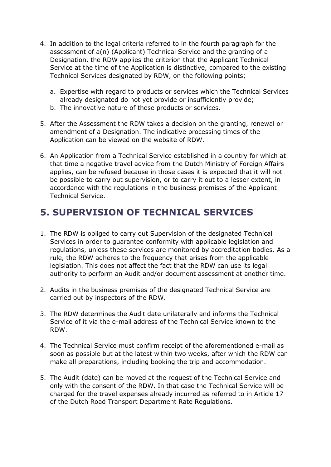- 4. In addition to the legal criteria referred to in the fourth paragraph for the assessment of a(n) (Applicant) Technical Service and the granting of a Designation, the RDW applies the criterion that the Applicant Technical Service at the time of the Application is distinctive, compared to the existing Technical Services designated by RDW, on the following points;
	- a. Expertise with regard to products or services which the Technical Services already designated do not yet provide or insufficiently provide;
	- b. The innovative nature of these products or services.
- 5. After the Assessment the RDW takes a decision on the granting, renewal or amendment of a Designation. The indicative processing times of the Application can be viewed on the website of RDW.
- 6. An Application from a Technical Service established in a country for which at that time a negative travel advice from the Dutch Ministry of Foreign Affairs applies, can be refused because in those cases it is expected that it will not be possible to carry out supervision, or to carry it out to a lesser extent, in accordance with the regulations in the business premises of the Applicant Technical Service.

## <span id="page-5-0"></span>**5. SUPERVISION OF TECHNICAL SERVICES**

- 1. The RDW is obliged to carry out Supervision of the designated Technical Services in order to guarantee conformity with applicable legislation and regulations, unless these services are monitored by accreditation bodies. As a rule, the RDW adheres to the frequency that arises from the applicable legislation. This does not affect the fact that the RDW can use its legal authority to perform an Audit and/or document assessment at another time.
- 2. Audits in the business premises of the designated Technical Service are carried out by inspectors of the RDW.
- 3. The RDW determines the Audit date unilaterally and informs the Technical Service of it via the e-mail address of the Technical Service known to the RDW.
- 4. The Technical Service must confirm receipt of the aforementioned e-mail as soon as possible but at the latest within two weeks, after which the RDW can make all preparations, including booking the trip and accommodation.
- 5. The Audit (date) can be moved at the request of the Technical Service and only with the consent of the RDW. In that case the Technical Service will be charged for the travel expenses already incurred as referred to in Article 17 of the Dutch Road Transport Department Rate Regulations.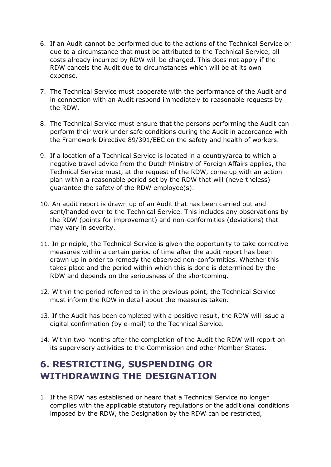- 6. If an Audit cannot be performed due to the actions of the Technical Service or due to a circumstance that must be attributed to the Technical Service, all costs already incurred by RDW will be charged. This does not apply if the RDW cancels the Audit due to circumstances which will be at its own expense.
- 7. The Technical Service must cooperate with the performance of the Audit and in connection with an Audit respond immediately to reasonable requests by the RDW.
- 8. The Technical Service must ensure that the persons performing the Audit can perform their work under safe conditions during the Audit in accordance with the Framework Directive 89/391/EEC on the safety and health of workers.
- 9. If a location of a Technical Service is located in a country/area to which a negative travel advice from the Dutch Ministry of Foreign Affairs applies, the Technical Service must, at the request of the RDW, come up with an action plan within a reasonable period set by the RDW that will (nevertheless) guarantee the safety of the RDW employee(s).
- 10. An audit report is drawn up of an Audit that has been carried out and sent/handed over to the Technical Service. This includes any observations by the RDW (points for improvement) and non-conformities (deviations) that may vary in severity.
- 11. In principle, the Technical Service is given the opportunity to take corrective measures within a certain period of time after the audit report has been drawn up in order to remedy the observed non-conformities. Whether this takes place and the period within which this is done is determined by the RDW and depends on the seriousness of the shortcoming.
- 12. Within the period referred to in the previous point, the Technical Service must inform the RDW in detail about the measures taken.
- 13. If the Audit has been completed with a positive result, the RDW will issue a digital confirmation (by e-mail) to the Technical Service.
- 14. Within two months after the completion of the Audit the RDW will report on its supervisory activities to the Commission and other Member States.

## <span id="page-6-0"></span>**6. RESTRICTING, SUSPENDING OR WITHDRAWING THE DESIGNATION**

1. If the RDW has established or heard that a Technical Service no longer complies with the applicable statutory regulations or the additional conditions imposed by the RDW, the Designation by the RDW can be restricted,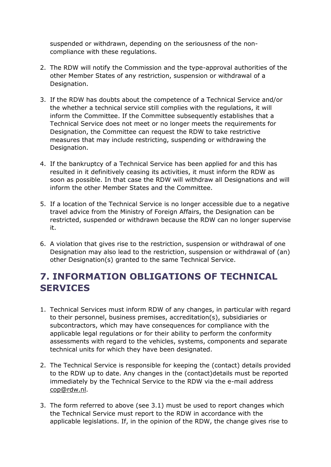suspended or withdrawn, depending on the seriousness of the noncompliance with these regulations.

- 2. The RDW will notify the Commission and the type-approval authorities of the other Member States of any restriction, suspension or withdrawal of a Designation.
- 3. If the RDW has doubts about the competence of a Technical Service and/or the whether a technical service still complies with the regulations, it will inform the Committee. If the Committee subsequently establishes that a Technical Service does not meet or no longer meets the requirements for Designation, the Committee can request the RDW to take restrictive measures that may include restricting, suspending or withdrawing the Designation.
- 4. If the bankruptcy of a Technical Service has been applied for and this has resulted in it definitively ceasing its activities, it must inform the RDW as soon as possible. In that case the RDW will withdraw all Designations and will inform the other Member States and the Committee.
- 5. If a location of the Technical Service is no longer accessible due to a negative travel advice from the Ministry of Foreign Affairs, the Designation can be restricted, suspended or withdrawn because the RDW can no longer supervise it.
- 6. A violation that gives rise to the restriction, suspension or withdrawal of one Designation may also lead to the restriction, suspension or withdrawal of (an) other Designation(s) granted to the same Technical Service.

#### <span id="page-7-0"></span>**7. INFORMATION OBLIGATIONS OF TECHNICAL SERVICES**

- 1. Technical Services must inform RDW of any changes, in particular with regard to their personnel, business premises, accreditation(s), subsidiaries or subcontractors, which may have consequences for compliance with the applicable legal regulations or for their ability to perform the conformity assessments with regard to the vehicles, systems, components and separate technical units for which they have been designated.
- 2. The Technical Service is responsible for keeping the (contact) details provided to the RDW up to date. Any changes in the (contact)details must be reported immediately by the Technical Service to the RDW via the e-mail address [cop@rdw.nl.](mailto:cop@rdw.nl)
- 3. The form referred to above (see 3.1) must be used to report changes which the Technical Service must report to the RDW in accordance with the applicable legislations. If, in the opinion of the RDW, the change gives rise to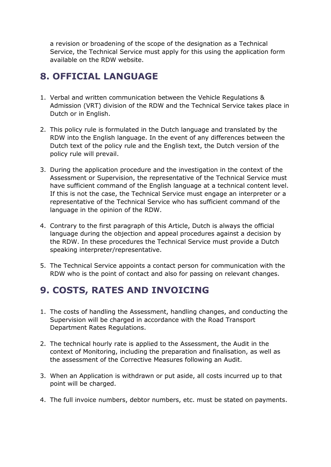a revision or broadening of the scope of the designation as a Technical Service, the Technical Service must apply for this using the application form available on the RDW website.

## <span id="page-8-0"></span>**8. OFFICIAL LANGUAGE**

- 1. Verbal and written communication between the Vehicle Regulations & Admission (VRT) division of the RDW and the Technical Service takes place in Dutch or in English.
- 2. This policy rule is formulated in the Dutch language and translated by the RDW into the English language. In the event of any differences between the Dutch text of the policy rule and the English text, the Dutch version of the policy rule will prevail.
- 3. During the application procedure and the investigation in the context of the Assessment or Supervision, the representative of the Technical Service must have sufficient command of the English language at a technical content level. If this is not the case, the Technical Service must engage an interpreter or a representative of the Technical Service who has sufficient command of the language in the opinion of the RDW.
- 4. Contrary to the first paragraph of this Article, Dutch is always the official language during the objection and appeal procedures against a decision by the RDW. In these procedures the Technical Service must provide a Dutch speaking interpreter/representative.
- 5. The Technical Service appoints a contact person for communication with the RDW who is the point of contact and also for passing on relevant changes.

#### <span id="page-8-1"></span>**9. COSTS, RATES AND INVOICING**

- 1. The costs of handling the Assessment, handling changes, and conducting the Supervision will be charged in accordance with the Road Transport Department Rates Regulations.
- 2. The technical hourly rate is applied to the Assessment, the Audit in the context of Monitoring, including the preparation and finalisation, as well as the assessment of the Corrective Measures following an Audit.
- 3. When an Application is withdrawn or put aside, all costs incurred up to that point will be charged.
- 4. The full invoice numbers, debtor numbers, etc. must be stated on payments.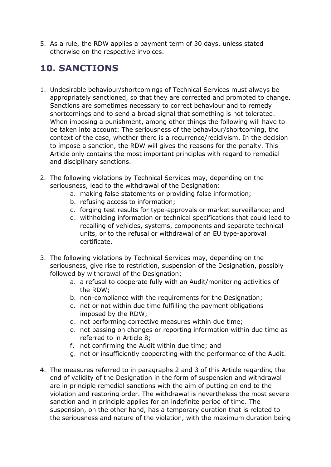5. As a rule, the RDW applies a payment term of 30 days, unless stated otherwise on the respective invoices.

## <span id="page-9-0"></span>**10. SANCTIONS**

- 1. Undesirable behaviour/shortcomings of Technical Services must always be appropriately sanctioned, so that they are corrected and prompted to change. Sanctions are sometimes necessary to correct behaviour and to remedy shortcomings and to send a broad signal that something is not tolerated. When imposing a punishment, among other things the following will have to be taken into account: The seriousness of the behaviour/shortcoming, the context of the case, whether there is a recurrence/recidivism. In the decision to impose a sanction, the RDW will gives the reasons for the penalty. This Article only contains the most important principles with regard to remedial and disciplinary sanctions.
- 2. The following violations by Technical Services may, depending on the seriousness, lead to the withdrawal of the Designation:
	- a. making false statements or providing false information;
	- b. refusing access to information;
	- c. forging test results for type-approvals or market surveillance; and
	- d. withholding information or technical specifications that could lead to recalling of vehicles, systems, components and separate technical units, or to the refusal or withdrawal of an EU type-approval certificate.
- 3. The following violations by Technical Services may, depending on the seriousness, give rise to restriction, suspension of the Designation, possibly followed by withdrawal of the Designation:
	- a. a refusal to cooperate fully with an Audit/monitoring activities of the RDW;
	- b. non-compliance with the requirements for the Designation;
	- c. not or not within due time fulfilling the payment obligations imposed by the RDW;
	- d. not performing corrective measures within due time;
	- e. not passing on changes or reporting information within due time as referred to in Article 8;
	- f. not confirming the Audit within due time; and
	- g. not or insufficiently cooperating with the performance of the Audit.
- 4. The measures referred to in paragraphs 2 and 3 of this Article regarding the end of validity of the Designation in the form of suspension and withdrawal are in principle remedial sanctions with the aim of putting an end to the violation and restoring order. The withdrawal is nevertheless the most severe sanction and in principle applies for an indefinite period of time. The suspension, on the other hand, has a temporary duration that is related to the seriousness and nature of the violation, with the maximum duration being